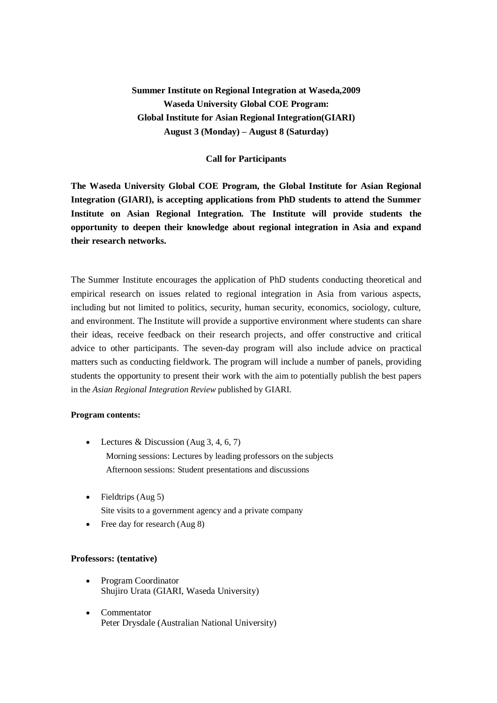# **Summer Institute on Regional Integration at Waseda,2009 Waseda University Global COE Program: Global Institute for Asian Regional Integration(GIARI) August 3 (Monday) – August 8 (Saturday)**

## **Call for Participants**

**The Waseda University Global COE Program, the Global Institute for Asian Regional Integration (GIARI), is accepting applications from PhD students to attend the Summer Institute on Asian Regional Integration. The Institute will provide students the opportunity to deepen their knowledge about regional integration in Asia and expand their research networks.**

The Summer Institute encourages the application of PhD students conducting theoretical and empirical research on issues related to regional integration in Asia from various aspects, including but not limited to politics, security, human security, economics, sociology, culture, and environment. The Institute will provide a supportive environment where students can share their ideas, receive feedback on their research projects, and offer constructive and critical advice to other participants. The seven-day program will also include advice on practical matters such as conducting fieldwork. The program will include a number of panels, providing students the opportunity to present their work with the aim to potentially publish the best papers in the *Asian Regional Integration Review* published by GIARI.

#### **Program contents:**

- Lectures & Discussion (Aug  $3, 4, 6, 7$ ) Morning sessions: Lectures by leading professors on the subjects Afternoon sessions: Student presentations and discussions
- $\bullet$  Fieldtrips (Aug 5) Site visits to a government agency and a private company
- Free day for research (Aug 8)

#### **Professors: (tentative)**

- Program Coordinator Shujiro Urata (GIARI, Waseda University)
- Commentator Peter Drysdale (Australian National University)